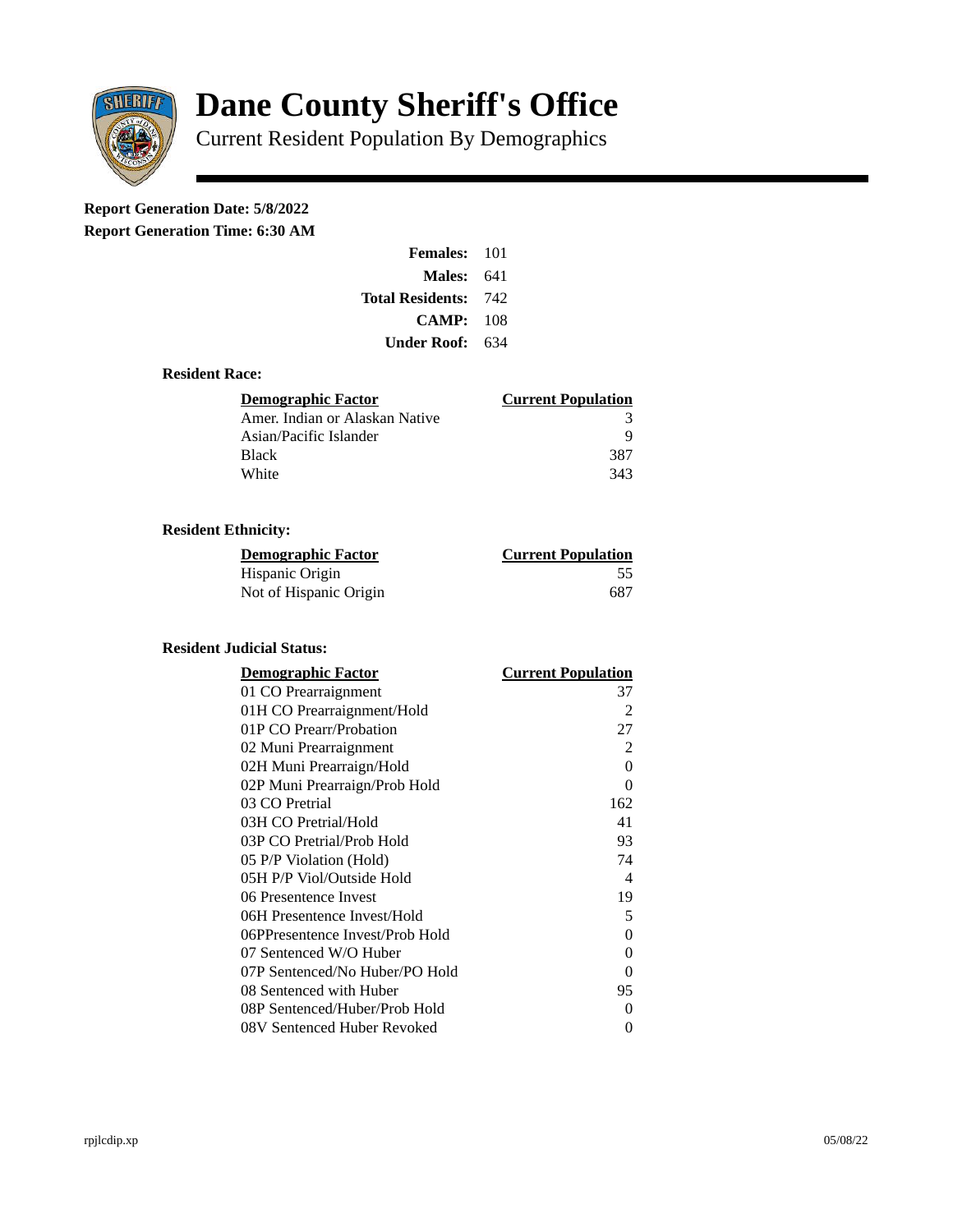

# **Dane County Sheriff's Office**

Current Resident Population By Demographics

## **Report Generation Date: 5/8/2022**

**Report Generation Time: 6:30 AM** 

| <b>Females: 101</b>         |     |
|-----------------------------|-----|
| Males:                      | 641 |
| <b>Total Residents: 742</b> |     |
| CAMP:                       | 108 |
| Under Roof: L               | 634 |

#### **Resident Race:**

| <b>Demographic Factor</b>      | <b>Current Population</b> |
|--------------------------------|---------------------------|
| Amer. Indian or Alaskan Native | 3                         |
| Asian/Pacific Islander         | q                         |
| <b>Black</b>                   | 387                       |
| White                          | 343                       |

### **Resident Ethnicity:**

| <u>Demographic Factor</u> | <u>Current Population</u> |
|---------------------------|---------------------------|
| Hispanic Origin           | 55                        |
| Not of Hispanic Origin    | 687                       |

#### **Resident Judicial Status:**

| <u>Demographic Factor</u>       | <u>Current Population</u> |
|---------------------------------|---------------------------|
| 01 CO Prearraignment            | 37                        |
| 01H CO Prearraignment/Hold      | $\overline{2}$            |
| 01P CO Prearr/Probation         | 27                        |
| 02 Muni Prearraignment          | 2                         |
| 02H Muni Prearraign/Hold        | $\theta$                  |
| 02P Muni Prearraign/Prob Hold   | 0                         |
| 03 CO Pretrial                  | 162                       |
| 03H CO Pretrial/Hold            | 41                        |
| 03P CO Pretrial/Prob Hold       | 93                        |
| 05 P/P Violation (Hold)         | 74                        |
| 05H P/P Viol/Outside Hold       | $\overline{\mathcal{A}}$  |
| 06 Presentence Invest           | 19                        |
| 06H Presentence Invest/Hold     | 5                         |
| 06PPresentence Invest/Prob Hold | 0                         |
| 07 Sentenced W/O Huber          | 0                         |
| 07P Sentenced/No Huber/PO Hold  | 0                         |
| 08 Sentenced with Huber         | 95                        |
| 08P Sentenced/Huber/Prob Hold   | 0                         |
| 08V Sentenced Huber Revoked     | 0                         |